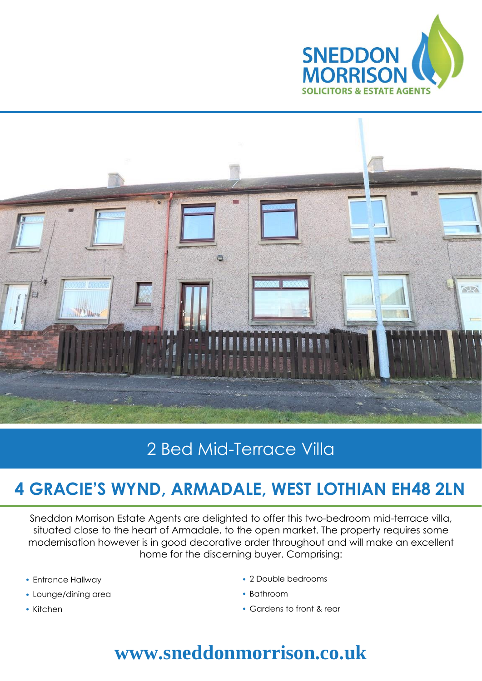



## 2 Bed Mid-Terrace Villa

## **4 GRACIE'S WYND, ARMADALE, WEST LOTHIAN EH48 2LN**

Sneddon Morrison Estate Agents are delighted to offer this two-bedroom mid-terrace villa, situated close to the heart of Armadale, to the open market. The property requires some modernisation however is in good decorative order throughout and will make an excellent home for the discerning buyer. Comprising:

- Entrance Hallway
- Lounge/dining area
- Kitchen
- 2 Double bedrooms
- Bathroom
- Gardens to front & rear

## **www.sneddonmorrison.co.uk**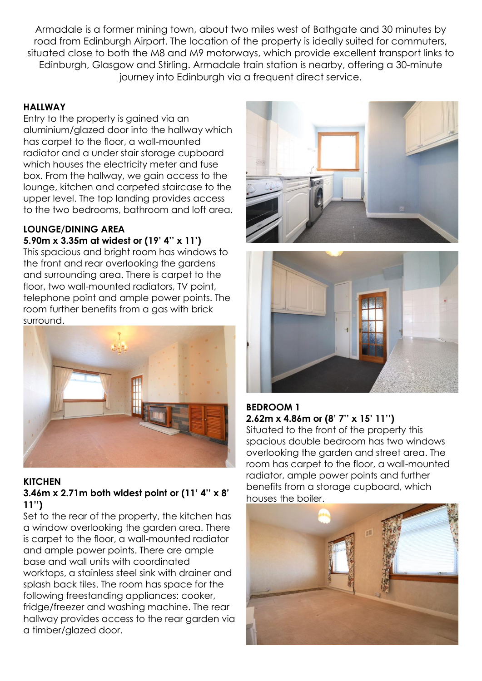Armadale is a former mining town, about two miles west of Bathgate and 30 minutes by road from Edinburgh Airport. The location of the property is ideally suited for commuters, situated close to both the M8 and M9 motorways, which provide excellent transport links to Edinburgh, Glasgow and Stirling. Armadale train station is nearby, offering a 30-minute journey into Edinburgh via a frequent direct service.

#### **HALLWAY**

Entry to the property is gained via an aluminium/glazed door into the hallway which has carpet to the floor, a wall-mounted radiator and a under stair storage cupboard which houses the electricity meter and fuse box. From the hallway, we gain access to the lounge, kitchen and carpeted staircase to the upper level. The top landing provides access to the two bedrooms, bathroom and loft area.

### **LOUNGE/DINING AREA**

**5.90m x 3.35m at widest or (19' 4'' x 11')** This spacious and bright room has windows to the front and rear overlooking the gardens and surrounding area. There is carpet to the floor, two wall-mounted radiators, TV point, telephone point and ample power points. The room further benefits from a gas with brick surround.



## **KITCHEN**

#### **3.46m x 2.71m both widest point or (11' 4'' x 8' 11'')**

Set to the rear of the property, the kitchen has a window overlooking the garden area. There is carpet to the floor, a wall-mounted radiator and ample power points. There are ample base and wall units with coordinated worktops, a stainless steel sink with drainer and splash back tiles. The room has space for the following freestanding appliances: cooker, fridge/freezer and washing machine. The rear hallway provides access to the rear garden via a timber/glazed door.





#### **BEDROOM 1 2.62m x 4.86m or (8' 7'' x 15' 11'')**

Situated to the front of the property this spacious double bedroom has two windows overlooking the garden and street area. The room has carpet to the floor, a wall-mounted radiator, ample power points and further benefits from a storage cupboard, which houses the boiler.

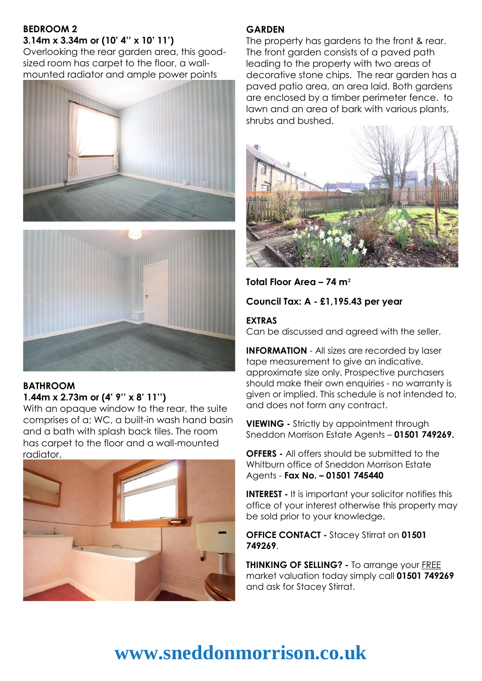#### **BEDROOM 2 3.14m x 3.34m or (10' 4'' x 10' 11')**

Overlooking the rear garden area, this goodsized room has carpet to the floor, a wallmounted radiator and ample power points





#### **BATHROOM 1.44m x 2.73m or (4' 9'' x 8' 11'')**

With an opaque window to the rear, the suite comprises of a; WC, a built-in wash hand basin and a bath with splash back tiles. The room has carpet to the floor and a wall-mounted radiator.



#### **GARDEN**

The property has gardens to the front & rear. The front garden consists of a paved path leading to the property with two areas of decorative stone chips. The rear garden has a paved patio area, an area laid. Both gardens are enclosed by a timber perimeter fence. to lawn and an area of bark with various plants, shrubs and bushed.



**Total Floor Area – 74 m**

**Council Tax: A - £1,195.43 per year**

#### **EXTRAS**

Can be discussed and agreed with the seller.

**INFORMATION** - All sizes are recorded by laser tape measurement to give an indicative, approximate size only. Prospective purchasers should make their own enquiries - no warranty is given or implied. This schedule is not intended to, and does not form any contract.

**VIEWING -** Strictly by appointment through Sneddon Morrison Estate Agents – **01501 749269.** 

**OFFERS -** All offers should be submitted to the Whitburn office of Sneddon Morrison Estate Agents - **Fax No. – 01501 745440** 

**INTEREST -** It is important your solicitor notifies this office of your interest otherwise this property may be sold prior to your knowledge.

**OFFICE CONTACT -** Stacey Stirrat on **01501 749269**.

**THINKING OF SELLING?** - To arrange your **FREE** market valuation today simply call **01501 749269** and ask for Stacey Stirrat.

## **www.sneddonmorrison.co.uk**